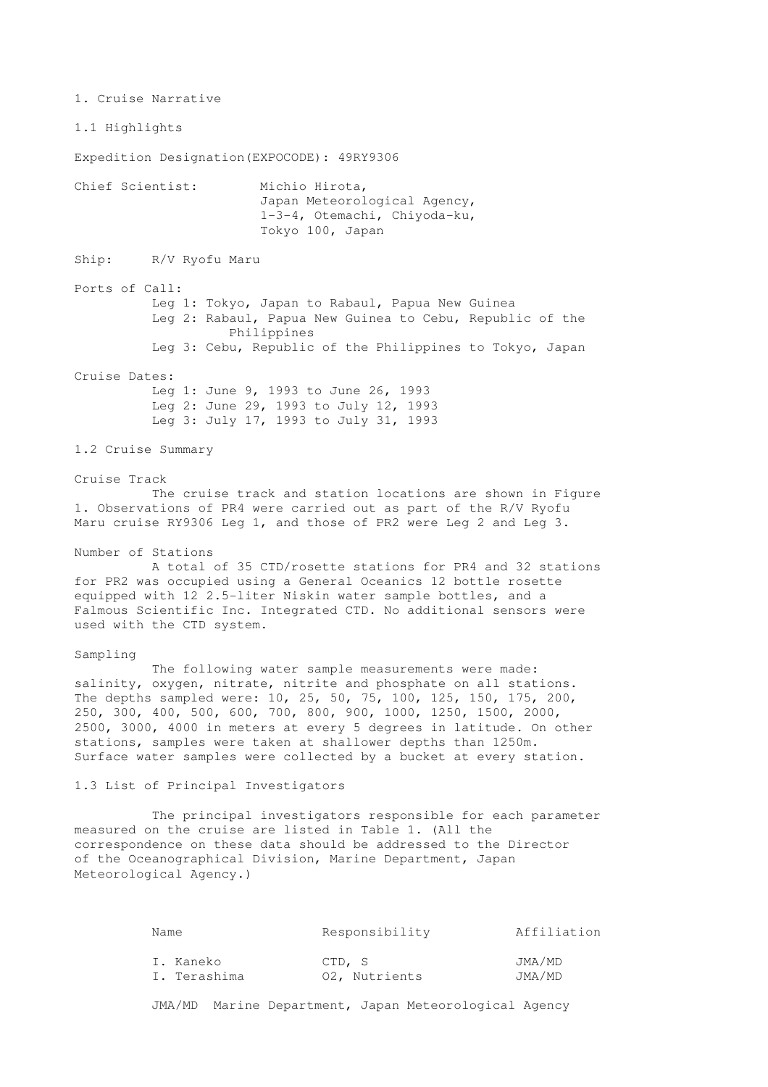1. Cruise Narrative 1.1 Highlights Expedition Designation(EXPOCODE): 49RY9306 Chief Scientist: Michio Hirota, Japan Meteorological Agency, 1-3-4, Otemachi, Chiyoda-ku, Tokyo 100, Japan Ship: R/V Ryofu Maru Ports of Call: Leg 1: Tokyo, Japan to Rabaul, Papua New Guinea Leg 2: Rabaul, Papua New Guinea to Cebu, Republic of the Philippines Leg 3: Cebu, Republic of the Philippines to Tokyo, Japan Cruise Dates: Leg 1: June 9, 1993 to June 26, 1993 Leg 2: June 29, 1993 to July 12, 1993 Leg 3: July 17, 1993 to July 31, 1993 1.2 Cruise Summary Cruise Track The cruise track and station locations are shown in Figure 1. Observations of PR4 were carried out as part of the R/V Ryofu Maru cruise RY9306 Leg 1, and those of PR2 were Leg 2 and Leg 3. Number of Stations A total of 35 CTD/rosette stations for PR4 and 32 stations for PR2 was occupied using a General Oceanics 12 bottle rosette equipped with 12 2.5-liter Niskin water sample bottles, and a Falmous Scientific Inc. Integrated CTD. No additional sensors were used with the CTD system. Sampling The following water sample measurements were made: salinity, oxygen, nitrate, nitrite and phosphate on all stations. The depths sampled were: 10, 25, 50, 75, 100, 125, 150, 175, 200, 250, 300, 400, 500, 600, 700, 800, 900, 1000, 1250, 1500, 2000, 2500, 3000, 4000 in meters at every 5 degrees in latitude. On other stations, samples were taken at shallower depths than 1250m. Surface water samples were collected by a bucket at every station. 1.3 List of Principal Investigators The principal investigators responsible for each parameter measured on the cruise are listed in Table 1. (All the correspondence on these data should be addressed to the Director of the Oceanographical Division, Marine Department, Japan Meteorological Agency.)

| I. Kaneko    | CTD, S        | JMA/MD |
|--------------|---------------|--------|
| I. Terashima | 02, Nutrients | JMA/MD |

Name Responsibility Affiliation

JMA/MD Marine Department, Japan Meteorological Agency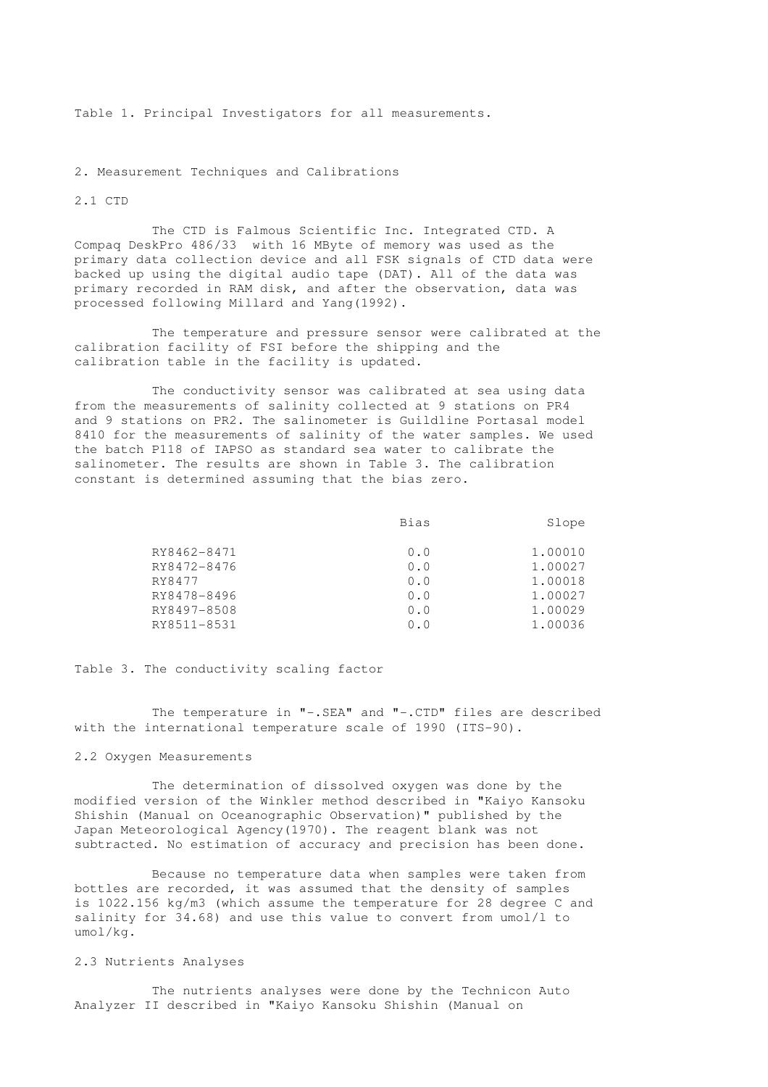Table 1. Principal Investigators for all measurements.

2. Measurement Techniques and Calibrations

## 2.1 CTD

 The CTD is Falmous Scientific Inc. Integrated CTD. A Compaq DeskPro 486/33 with 16 MByte of memory was used as the primary data collection device and all FSK signals of CTD data were backed up using the digital audio tape (DAT). All of the data was primary recorded in RAM disk, and after the observation, data was processed following Millard and Yang(1992).

 The temperature and pressure sensor were calibrated at the calibration facility of FSI before the shipping and the calibration table in the facility is updated.

 The conductivity sensor was calibrated at sea using data from the measurements of salinity collected at 9 stations on PR4 and 9 stations on PR2. The salinometer is Guildline Portasal model 8410 for the measurements of salinity of the water samples. We used the batch P118 of IAPSO as standard sea water to calibrate the salinometer. The results are shown in Table 3. The calibration constant is determined assuming that the bias zero.

|             | Bias | Slope   |
|-------------|------|---------|
|             |      |         |
| RY8462-8471 | 0.0  | 1,00010 |
| RY8472-8476 | 0.0  | 1,00027 |
| RY8477      | 0.0  | 1,00018 |
| RY8478-8496 | 0.0  | 1.00027 |
| RY8497-8508 | 0.0  | 1,00029 |
| RY8511-8531 | 0.0  | 1.00036 |

Table 3. The conductivity scaling factor

 The temperature in "-.SEA" and "-.CTD" files are described with the international temperature scale of 1990 (ITS-90).

## 2.2 Oxygen Measurements

 The determination of dissolved oxygen was done by the modified version of the Winkler method described in "Kaiyo Kansoku Shishin (Manual on Oceanographic Observation)" published by the Japan Meteorological Agency(1970). The reagent blank was not subtracted. No estimation of accuracy and precision has been done.

 Because no temperature data when samples were taken from bottles are recorded, it was assumed that the density of samples is 1022.156 kg/m3 (which assume the temperature for 28 degree C and salinity for 34.68) and use this value to convert from umol/l to umol/kg.

## 2.3 Nutrients Analyses

 The nutrients analyses were done by the Technicon Auto Analyzer II described in "Kaiyo Kansoku Shishin (Manual on